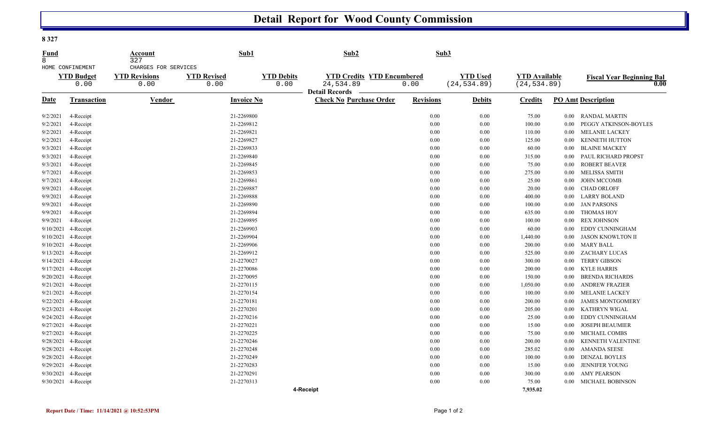## **Detail Report for Wood County Commission**

|--|--|

| <b>Fund</b><br>8 |                           | Account<br>327               | Sub1                       |                           | Sub2                                           | Sub3             |                                 |                                      |          |                                          |  |
|------------------|---------------------------|------------------------------|----------------------------|---------------------------|------------------------------------------------|------------------|---------------------------------|--------------------------------------|----------|------------------------------------------|--|
|                  | HOME CONFINEMENT          | CHARGES FOR SERVICES         |                            |                           |                                                |                  |                                 |                                      |          |                                          |  |
|                  | <b>YTD Budget</b><br>0.00 | <b>YTD Revisions</b><br>0.00 | <b>YTD Revised</b><br>0.00 | <b>YTD Debits</b><br>0.00 | <b>YTD Credits YTD Encumbered</b><br>24,534.89 | 0.00             | <b>YTD Used</b><br>(24, 534.89) | <b>YTD</b> Available<br>(24, 534.89) |          | <b>Fiscal Year Beginning Bal</b><br>0.00 |  |
|                  |                           |                              |                            |                           | <b>Detail Records</b>                          |                  |                                 |                                      |          |                                          |  |
| Date             | Transaction               | Vendor                       | <b>Invoice No</b>          |                           | <b>Check No Purchase Order</b>                 | <b>Revisions</b> | <b>Debits</b>                   | <b>Credits</b>                       |          | <b>PO Amt Description</b>                |  |
| 9/2/2021         | 4-Receipt                 |                              | 21-2269800                 |                           |                                                | 0.00             | 0.00                            | 75.00                                |          | 0.00 RANDAL MARTIN                       |  |
| 9/2/2021         | 4-Receipt                 |                              | 21-2269812                 |                           |                                                | 0.00             | 0.00                            | 100.00                               | $0.00\,$ | PEGGY ATKINSON-BOYLES                    |  |
| 9/2/2021         | 4-Receipt                 |                              | 21-2269821                 |                           |                                                | 0.00             | 0.00                            | 110.00                               | $0.00\,$ | <b>MELANIE LACKEY</b>                    |  |
| 9/2/2021         | 4-Receipt                 |                              | 21-2269827                 |                           |                                                | 0.00             | 0.00                            | 125.00                               | 0.00     | <b>KENNETH HUTTON</b>                    |  |
| 9/3/2021         | 4-Receipt                 |                              | 21-2269833                 |                           |                                                | 0.00             | 0.00                            | 60.00                                | $0.00\,$ | <b>BLAINE MACKEY</b>                     |  |
| 9/3/2021         | 4-Receipt                 |                              | 21-2269840                 |                           |                                                | 0.00             | 0.00                            | 315.00                               | $0.00\,$ | PAUL RICHARD PROPST                      |  |
| 9/3/2021         | 4-Receipt                 |                              | 21-2269845                 |                           |                                                | 0.00             | 0.00                            | 75.00                                | $0.00\,$ | <b>ROBERT BEAVER</b>                     |  |
| 9/7/2021         | 4-Receipt                 |                              | 21-2269853                 |                           |                                                | 0.00             | 0.00                            | 275.00                               | $0.00\,$ | <b>MELISSA SMITH</b>                     |  |
| 9/7/2021         | 4-Receipt                 |                              | 21-2269861                 |                           |                                                | 0.00             | 0.00                            | 25.00                                | $0.00\,$ | <b>JOHN MCCOMB</b>                       |  |
| 9/9/2021         | 4-Receipt                 |                              | 21-2269887                 |                           |                                                | 0.00             | 0.00                            | 20.00                                | $0.00\,$ | <b>CHAD ORLOFF</b>                       |  |
| 9/9/2021         | 4-Receipt                 |                              | 21-2269888                 |                           |                                                | 0.00             | 0.00                            | 400.00                               | $0.00\,$ | <b>LARRY BOLAND</b>                      |  |
| 9/9/2021         | 4-Receipt                 |                              | 21-2269890                 |                           |                                                | 0.00             | 0.00                            | 100.00                               | $0.00\,$ | <b>JAN PARSONS</b>                       |  |
| 9/9/2021         | 4-Receipt                 |                              | 21-2269894                 |                           |                                                | 0.00             | 0.00                            | 635.00                               | $0.00\,$ | <b>THOMAS HOY</b>                        |  |
| 9/9/2021         | 4-Receipt                 |                              | 21-2269895                 |                           |                                                | 0.00             | 0.00                            | 100.00                               | $0.00\,$ | <b>REX JOHNSON</b>                       |  |
| 9/10/2021        | 4-Receipt                 |                              | 21-2269903                 |                           |                                                | 0.00             | 0.00                            | 60.00                                | $0.00\,$ | EDDY CUNNINGHAM                          |  |
| 9/10/2021        | 4-Receipt                 |                              | 21-2269904                 |                           |                                                | 0.00             | 0.00                            | 1,440.00                             | $0.00\,$ | <b>JASON KNOWLTON II</b>                 |  |
| 9/10/2021        | 4-Receipt                 |                              | 21-2269906                 |                           |                                                | 0.00             | 0.00                            | 200.00                               | $0.00\,$ | <b>MARY BALL</b>                         |  |
| 9/13/2021        | 4-Receipt                 |                              | 21-2269912                 |                           |                                                | 0.00             | 0.00                            | 525.00                               | $0.00\,$ | <b>ZACHARY LUCAS</b>                     |  |
| 9/14/2021        | 4-Receipt                 |                              | 21-2270027                 |                           |                                                | 0.00             | 0.00                            | 300.00                               | $0.00\,$ | <b>TERRY GIBSON</b>                      |  |
| 9/17/2021        | 4-Receipt                 |                              | 21-2270086                 |                           |                                                | 0.00             | 0.00                            | 200.00                               | $0.00\,$ | <b>KYLE HARRIS</b>                       |  |
| 9/20/2021        | 4-Receipt                 |                              | 21-2270095                 |                           |                                                | 0.00             | 0.00                            | 150.00                               | 0.00     | <b>BRENDA RICHARDS</b>                   |  |
| 9/21/2021        | 4-Receipt                 |                              | 21-2270115                 |                           |                                                | 0.00             | 0.00                            | 1,050.00                             | $0.00\,$ | <b>ANDREW FRAZIER</b>                    |  |
| 9/21/2021        | 4-Receipt                 |                              | 21-2270154                 |                           |                                                | 0.00             | 0.00                            | 100.00                               | $0.00\,$ | MELANIE LACKEY                           |  |
| 9/22/2021        | 4-Receipt                 |                              | 21-2270181                 |                           |                                                | 0.00             | 0.00                            | 200.00                               | $0.00\,$ | <b>JAMES MONTGOMERY</b>                  |  |
| 9/23/2021        | 4-Receipt                 |                              | 21-2270201                 |                           |                                                | 0.00             | 0.00                            | 205.00                               | $0.00\,$ | <b>KATHRYN WIGAL</b>                     |  |
| 9/24/2021        | 4-Receipt                 |                              | 21-2270216                 |                           |                                                | 0.00             | 0.00                            | 25.00                                | $0.00\,$ | EDDY CUNNINGHAM                          |  |
| 9/27/2021        | 4-Receipt                 |                              | 21-2270221                 |                           |                                                | 0.00             | 0.00                            | 15.00                                | $0.00\,$ | <b>JOSEPH BEAUMIER</b>                   |  |
| 9/27/2021        | 4-Receipt                 |                              | 21-2270225                 |                           |                                                | 0.00             | 0.00                            | 75.00                                | $0.00\,$ | MICHAEL COMBS                            |  |
| 9/28/2021        | 4-Receipt                 |                              | 21-2270246                 |                           |                                                | 0.00             | 0.00                            | 200.00                               | 0.00     | KENNETH VALENTINE                        |  |
| 9/28/2021        | 4-Receipt                 |                              | 21-2270248                 |                           |                                                | 0.00             | 0.00                            | 285.02                               | $0.00\,$ | <b>AMANDA SEESE</b>                      |  |
| 9/28/2021        | 4-Receipt                 |                              | 21-2270249                 |                           |                                                | 0.00             | 0.00                            | 100.00                               | $0.00\,$ | <b>DENZAL BOYLES</b>                     |  |
| 9/29/2021        | 4-Receipt                 |                              | 21-2270283                 |                           |                                                | 0.00             | 0.00                            | 15.00                                | $0.00\,$ | <b>JENNIFER YOUNG</b>                    |  |
| 9/30/2021        | 4-Receipt                 |                              | 21-2270291                 |                           |                                                | 0.00             | 0.00                            | 300.00                               | 0.00     | <b>AMY PEARSON</b>                       |  |
|                  | 9/30/2021 4-Receipt       |                              | 21-2270313                 |                           |                                                | 0.00             | 0.00                            | 75.00                                | 0.00     | <b>MICHAEL BOBINSON</b>                  |  |
|                  |                           |                              |                            |                           | 4-Receipt                                      |                  |                                 | 7.935.02                             |          |                                          |  |